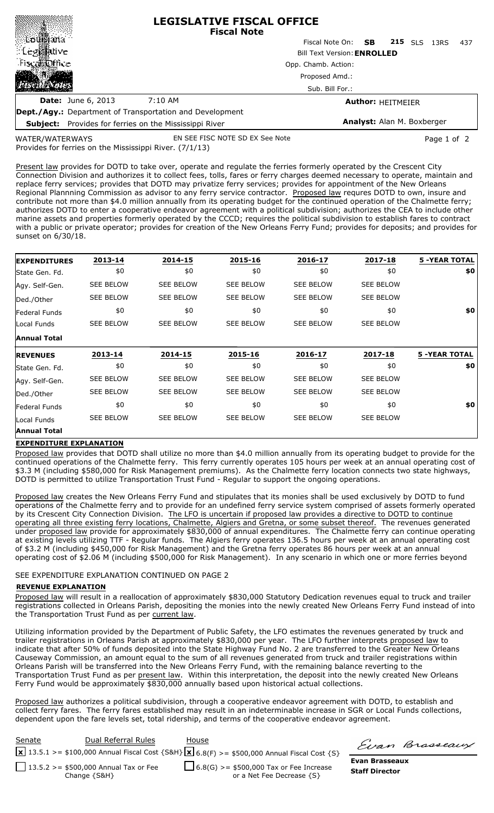|                                                                 |                                                               | <b>LEGISLATIVE FISCAL OFFICE</b><br><b>Fiscal Note</b> |                            |             |  |
|-----------------------------------------------------------------|---------------------------------------------------------------|--------------------------------------------------------|----------------------------|-------------|--|
| ≋©bu∯gana ¦                                                     |                                                               | Fiscal Note On: <b>SB</b>                              | <b>215</b> SLS             | 437<br>13RS |  |
| ∷Leg⊠∭ative                                                     |                                                               | <b>Bill Text Version: ENROLLED</b>                     |                            |             |  |
| ंFisca∭@ffice                                                   |                                                               | Opp. Chamb. Action:                                    |                            |             |  |
|                                                                 |                                                               | Proposed Amd.:                                         |                            |             |  |
|                                                                 |                                                               | Sub. Bill For.:                                        |                            |             |  |
| <b>Date:</b> June 6, 2013                                       | 7:10 AM                                                       |                                                        | <b>Author: HEITMEIER</b>   |             |  |
| <b>Dept./Agy.:</b> Department of Transportation and Development |                                                               |                                                        |                            |             |  |
|                                                                 | <b>Subject:</b> Provides for ferries on the Mississippi River |                                                        | Analyst: Alan M. Boxberger |             |  |

WATER/WATERWAYS

EN SEE FISC NOTE SD EX See Note Page 1 of 2

Provides for ferries on the Mississippi River. (7/1/13)

Present law provides for DOTD to take over, operate and regulate the ferries formerly operated by the Crescent City Connection Division and authorizes it to collect fees, tolls, fares or ferry charges deemed necessary to operate, maintain and replace ferry services; provides that DOTD may privatize ferry services; provides for appointment of the New Orleans Regional Plannning Commission as advisor to any ferry service contractor. Proposed law requres DOTD to own, insure and contribute not more than \$4.0 million annually from its operating budget for the continued operation of the Chalmette ferry; authorizes DOTD to enter a cooperative endeavor agreement with a political subdivision; authorizes the CEA to include other marine assets and properties formerly operated by the CCCD; requires the political subdivision to establish fares to contract with a public or private operator; provides for creation of the New Orleans Ferry Fund; provides for deposits; and provides for sunset on 6/30/18.

| <b>EXPENDITURES</b>  | 2013-14          | 2014-15          | 2015-16          | 2016-17          | 2017-18          | <b>5 -YEAR TOTAL</b> |
|----------------------|------------------|------------------|------------------|------------------|------------------|----------------------|
| State Gen. Fd.       | \$0              | \$0              | \$0              | \$0              | \$0              | \$0                  |
| Agy. Self-Gen.       | <b>SEE BELOW</b> | <b>SEE BELOW</b> | <b>SEE BELOW</b> | <b>SEE BELOW</b> | <b>SEE BELOW</b> |                      |
| Ded./Other           | <b>SEE BELOW</b> | <b>SEE BELOW</b> | <b>SEE BELOW</b> | <b>SEE BELOW</b> | <b>SEE BELOW</b> |                      |
| <b>Federal Funds</b> | \$0              | \$0              | \$0              | \$0              | \$0              | \$0                  |
| Local Funds          | <b>SEE BELOW</b> | <b>SEE BELOW</b> | SEE BELOW        | <b>SEE BELOW</b> | <b>SEE BELOW</b> |                      |
| <b>Annual Total</b>  |                  |                  |                  |                  |                  |                      |
| <b>REVENUES</b>      | 2013-14          | 2014-15          | 2015-16          | 2016-17          | 2017-18          | <b>5 -YEAR TOTAL</b> |
| State Gen. Fd.       | \$0              | \$0              | \$0              | \$0              | \$0              | \$0                  |
| Agy. Self-Gen.       | <b>SEE BELOW</b> | <b>SEE BELOW</b> | <b>SEE BELOW</b> | <b>SEE BELOW</b> | <b>SEE BELOW</b> |                      |
| Ded./Other           | <b>SEE BELOW</b> | <b>SEE BELOW</b> | <b>SEE BELOW</b> | <b>SEE BELOW</b> | <b>SEE BELOW</b> |                      |
|                      |                  |                  |                  |                  |                  |                      |
| lFederal Funds       | \$0              | \$0              | \$0              | \$0              | \$0              | \$0                  |
| Local Funds          | SEE BELOW        | <b>SEE BELOW</b> | <b>SEE BELOW</b> | <b>SEE BELOW</b> | <b>SEE BELOW</b> |                      |

## **EXPENDITURE EXPLANATION**

Proposed law provides that DOTD shall utilize no more than \$4.0 million annually from its operating budget to provide for the continued operations of the Chalmette ferry. This ferry currently operates 105 hours per week at an annual operating cost of \$3.3 M (including \$580,000 for Risk Management premiums). As the Chalmette ferry location connects two state highways, DOTD is permitted to utilize Transportation Trust Fund - Regular to support the ongoing operations.

Proposed law creates the New Orleans Ferry Fund and stipulates that its monies shall be used exclusively by DOTD to fund operations of the Chalmette ferry and to provide for an undefined ferry service system comprised of assets formerly operated by its Crescent City Connection Division. The LFO is uncertain if proposed law provides a directive to DOTD to continue operating all three existing ferry locations, Chalmette, Algiers and Gretna, or some subset thereof. The revenues generated under proposed law provide for approximately \$830,000 of annual expenditures. The Chalmette ferry can continue operating at existing levels utilizing TTF - Regular funds. The Algiers ferry operates 136.5 hours per week at an annual operating cost of \$3.2 M (including \$450,000 for Risk Management) and the Gretna ferry operates 86 hours per week at an annual operating cost of \$2.06 M (including \$500,000 for Risk Management). In any scenario in which one or more ferries beyond

## SEE EXPENDITURE EXPLANATION CONTINUED ON PAGE 2

## **REVENUE EXPLANATION**

Proposed law will result in a reallocation of approximately \$830,000 Statutory Dedication revenues equal to truck and trailer registrations collected in Orleans Parish, depositing the monies into the newly created New Orleans Ferry Fund instead of into the Transportation Trust Fund as per current law.

Utilizing information provided by the Department of Public Safety, the LFO estimates the revenues generated by truck and trailer registrations in Orleans Parish at approximately \$830,000 per year. The LFO further interprets proposed law to indicate that after 50% of funds deposited into the State Highway Fund No. 2 are transferred to the Greater New Orleans Causeway Commission, an amount equal to the sum of all revenues generated from truck and trailer registrations within Orleans Parish will be transferred into the New Orleans Ferry Fund, with the remaining balance reverting to the Transportation Trust Fund as per present law. Within this interpretation, the deposit into the newly created New Orleans Ferry Fund would be approximately \$830,000 annually based upon historical actual collections.

Proposed law authorizes a political subdivision, through a cooperative endeavor agreement with DOTD, to establish and collect ferry fares. The ferry fares established may result in an indeterminable increase in SGR or Local Funds collections, dependent upon the fare levels set, total ridership, and terms of the cooperative endeavor agreement.

| Senate | Dual Referral Rules                                     | House                                                                                                       |  |
|--------|---------------------------------------------------------|-------------------------------------------------------------------------------------------------------------|--|
|        |                                                         | <b>x</b> 13.5.1 >= \$100,000 Annual Fiscal Cost {S&H} <b>x</b> 6.8(F) >= \$500,000 Annual Fiscal Cost {S} - |  |
|        | $13.5.2 > = $500,000$ Annual Tax or Fee<br>Change {S&H} | $\Box$ 6.8(G) >= \$500,000 Tax or Fee Increase<br>or a Net Fee Decrease {S}                                 |  |

Evan Brasseaux

**Evan Brasseaux Staff Director**